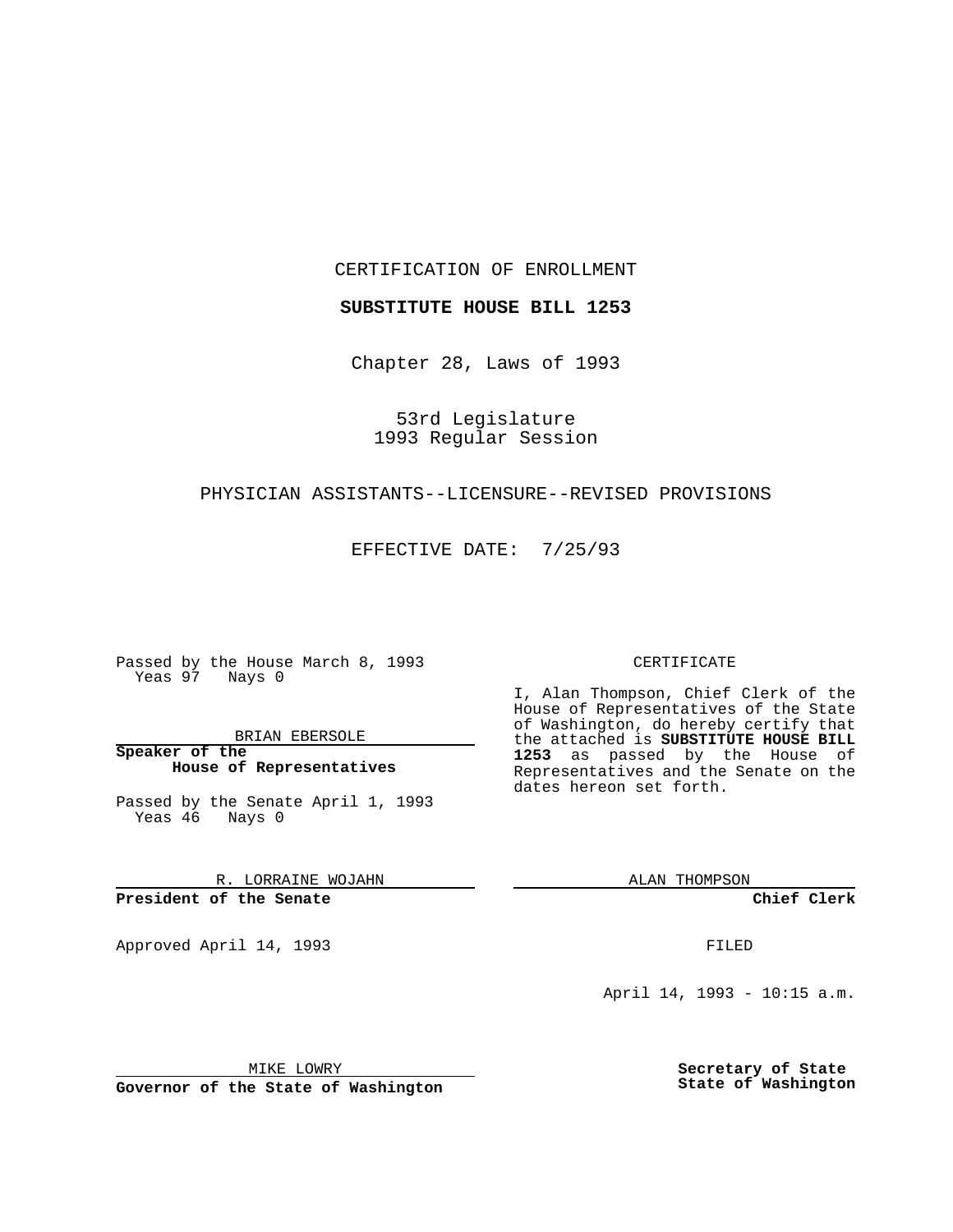CERTIFICATION OF ENROLLMENT

**SUBSTITUTE HOUSE BILL 1253**

Chapter 28, Laws of 1993

53rd Legislature 1993 Regular Session

## PHYSICIAN ASSISTANTS--LICENSURE--REVISED PROVISIONS

EFFECTIVE DATE: 7/25/93

Passed by the House March 8, 1993 Yeas 97 Nays 0

BRIAN EBERSOLE

**Speaker of the House of Representatives**

Passed by the Senate April 1, 1993 Yeas 46 Nays 0

R. LORRAINE WOJAHN

**President of the Senate**

Approved April 14, 1993 **FILED** 

## CERTIFICATE

I, Alan Thompson, Chief Clerk of the House of Representatives of the State of Washington, do hereby certify that the attached is **SUBSTITUTE HOUSE BILL 1253** as passed by the House of Representatives and the Senate on the dates hereon set forth.

ALAN THOMPSON

**Chief Clerk**

April 14, 1993 - 10:15 a.m.

MIKE LOWRY

**Governor of the State of Washington**

**Secretary of State State of Washington**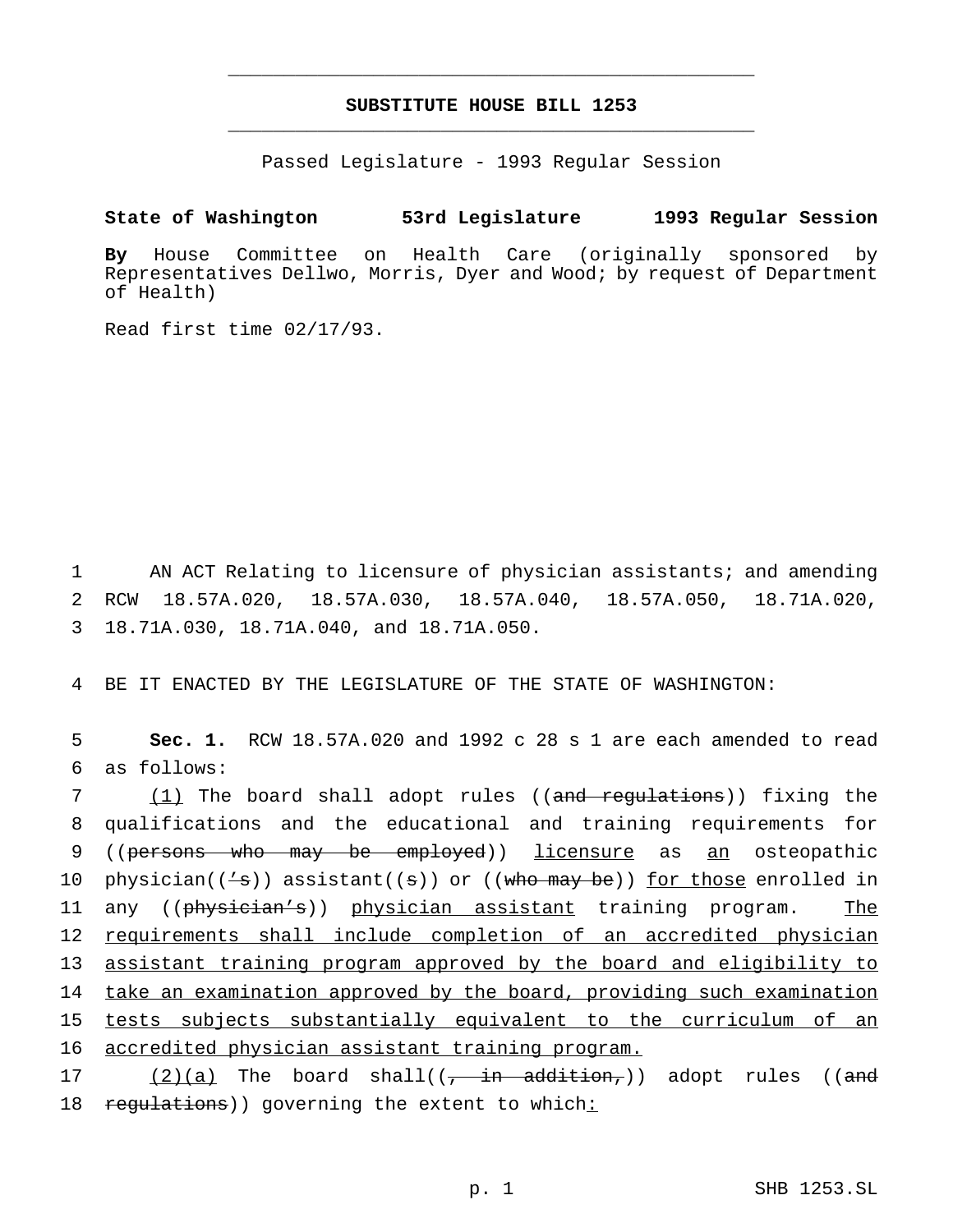## **SUBSTITUTE HOUSE BILL 1253** \_\_\_\_\_\_\_\_\_\_\_\_\_\_\_\_\_\_\_\_\_\_\_\_\_\_\_\_\_\_\_\_\_\_\_\_\_\_\_\_\_\_\_\_\_\_\_

\_\_\_\_\_\_\_\_\_\_\_\_\_\_\_\_\_\_\_\_\_\_\_\_\_\_\_\_\_\_\_\_\_\_\_\_\_\_\_\_\_\_\_\_\_\_\_

Passed Legislature - 1993 Regular Session

## **State of Washington 53rd Legislature 1993 Regular Session**

**By** House Committee on Health Care (originally sponsored by Representatives Dellwo, Morris, Dyer and Wood; by request of Department of Health)

Read first time 02/17/93.

1 AN ACT Relating to licensure of physician assistants; and amending 2 RCW 18.57A.020, 18.57A.030, 18.57A.040, 18.57A.050, 18.71A.020, 3 18.71A.030, 18.71A.040, and 18.71A.050.

4 BE IT ENACTED BY THE LEGISLATURE OF THE STATE OF WASHINGTON:

5 **Sec. 1.** RCW 18.57A.020 and 1992 c 28 s 1 are each amended to read 6 as follows:

7 (1) The board shall adopt rules ((and regulations)) fixing the 8 qualifications and the educational and training requirements for 9 ((persons who may be employed)) licensure as an osteopathic 10 physician( $(\frac{1}{s})$ ) assistant( $(s)$ ) or ( $(\frac{1}{s})$ ) for those enrolled in 11 any ((physician's)) physician assistant training program. The 12 requirements shall include completion of an accredited physician 13 assistant training program approved by the board and eligibility to 14 take an examination approved by the board, providing such examination 15 tests subjects substantially equivalent to the curriculum of an 16 accredited physician assistant training program.

17 (2)(a) The board shall(( $\frac{1}{r}$  in addition,)) adopt rules ((and 18 regulations)) governing the extent to which: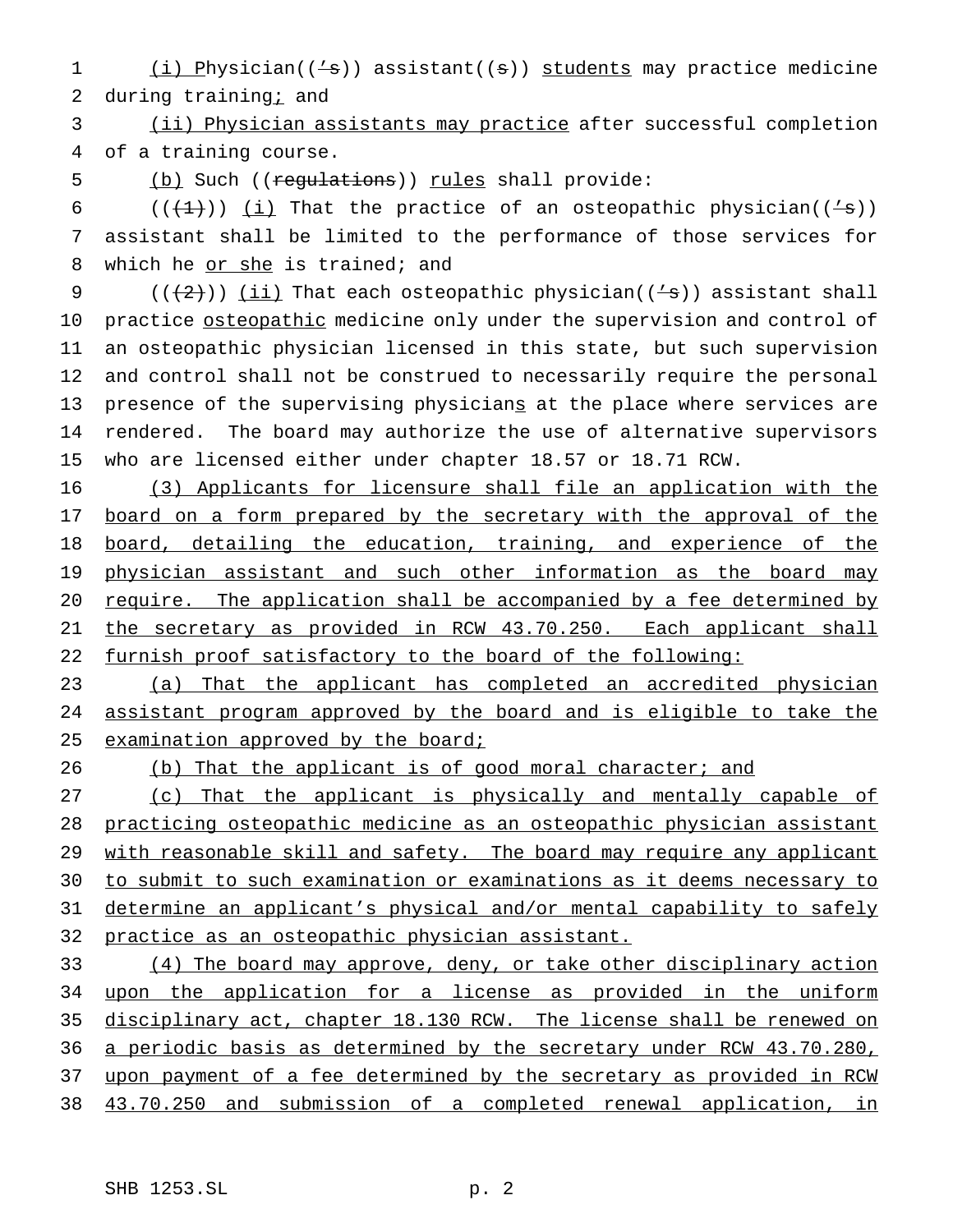(i) Physician(('s)) assistant((s)) students may practice medicine 2 during training; and

 (ii) Physician assistants may practice after successful completion of a training course.

5 (b) Such ((regulations)) rules shall provide:

6 ( $(\frac{1}{2})$ ) (i) That the practice of an osteopathic physician( $(\frac{1}{8})$ ) assistant shall be limited to the performance of those services for 8 which he or she is trained; and

 $((+2+))$  (ii) That each osteopathic physician( $(+s)$ ) assistant shall 10 practice osteopathic medicine only under the supervision and control of an osteopathic physician licensed in this state, but such supervision and control shall not be construed to necessarily require the personal 13 presence of the supervising physicians at the place where services are rendered. The board may authorize the use of alternative supervisors who are licensed either under chapter 18.57 or 18.71 RCW.

 (3) Applicants for licensure shall file an application with the 17 board on a form prepared by the secretary with the approval of the board, detailing the education, training, and experience of the 19 physician assistant and such other information as the board may require. The application shall be accompanied by a fee determined by 21 the secretary as provided in RCW 43.70.250. Each applicant shall 22 furnish proof satisfactory to the board of the following:

 (a) That the applicant has completed an accredited physician assistant program approved by the board and is eligible to take the 25 examination approved by the board;

26 (b) That the applicant is of good moral character; and

 (c) That the applicant is physically and mentally capable of practicing osteopathic medicine as an osteopathic physician assistant 29 with reasonable skill and safety. The board may require any applicant to submit to such examination or examinations as it deems necessary to determine an applicant's physical and/or mental capability to safely practice as an osteopathic physician assistant.

 (4) The board may approve, deny, or take other disciplinary action 34 upon the application for a license as provided in the uniform disciplinary act, chapter 18.130 RCW. The license shall be renewed on a periodic basis as determined by the secretary under RCW 43.70.280, upon payment of a fee determined by the secretary as provided in RCW 43.70.250 and submission of a completed renewal application, in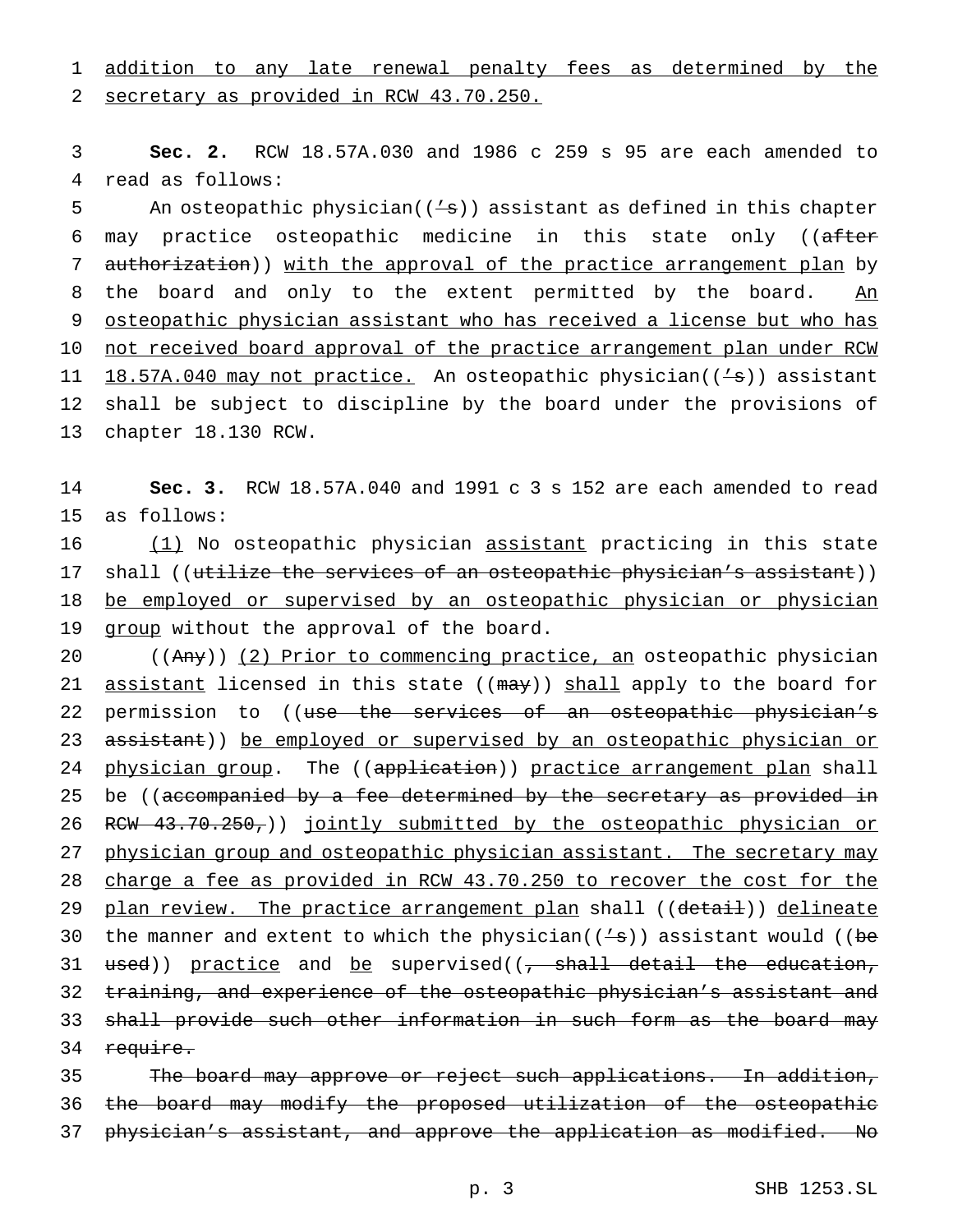1 addition to any late renewal penalty fees as determined by the

2 secretary as provided in RCW 43.70.250.

3 **Sec. 2.** RCW 18.57A.030 and 1986 c 259 s 95 are each amended to 4 read as follows:

5 An osteopathic physician( $(\frac{1}{s})$ ) assistant as defined in this chapter 6 may practice osteopathic medicine in this state only ((after 7 authorization)) with the approval of the practice arrangement plan by 8 the board and only to the extent permitted by the board. An 9 osteopathic physician assistant who has received a license but who has 10 not received board approval of the practice arrangement plan under RCW 11 18.57A.040 may not practice. An osteopathic physician(('s)) assistant 12 shall be subject to discipline by the board under the provisions of 13 chapter 18.130 RCW.

14 **Sec. 3.** RCW 18.57A.040 and 1991 c 3 s 152 are each amended to read 15 as follows:

16 (1) No osteopathic physician assistant practicing in this state 17 shall ((utilize the services of an osteopathic physician's assistant)) 18 be employed or supervised by an osteopathic physician or physician 19 group without the approval of the board.

20 ((Any)) (2) Prior to commencing practice, an osteopathic physician 21 assistant licensed in this state ((may)) shall apply to the board for 22 permission to ((use the services of an osteopathic physician's 23 assistant)) be employed or supervised by an osteopathic physician or 24 physician group. The ((application)) practice arrangement plan shall 25 be ((accompanied by a fee determined by the secretary as provided in 26 RCW 43.70.250,)) jointly submitted by the osteopathic physician or 27 physician group and osteopathic physician assistant. The secretary may 28 charge a fee as provided in RCW 43.70.250 to recover the cost for the 29 plan review. The practice arrangement plan shall ((detail)) delineate 30 the manner and extent to which the physician( $(\frac{1}{s})$ ) assistant would ((be 31 used)) practice and be supervised((, shall detail the education, 32 training, and experience of the osteopathic physician's assistant and 33 shall provide such other information in such form as the board may 34 require.

35 The board may approve or reject such applications. In addition, 36 the board may modify the proposed utilization of the osteopathic 37 physician's assistant, and approve the application as modified. No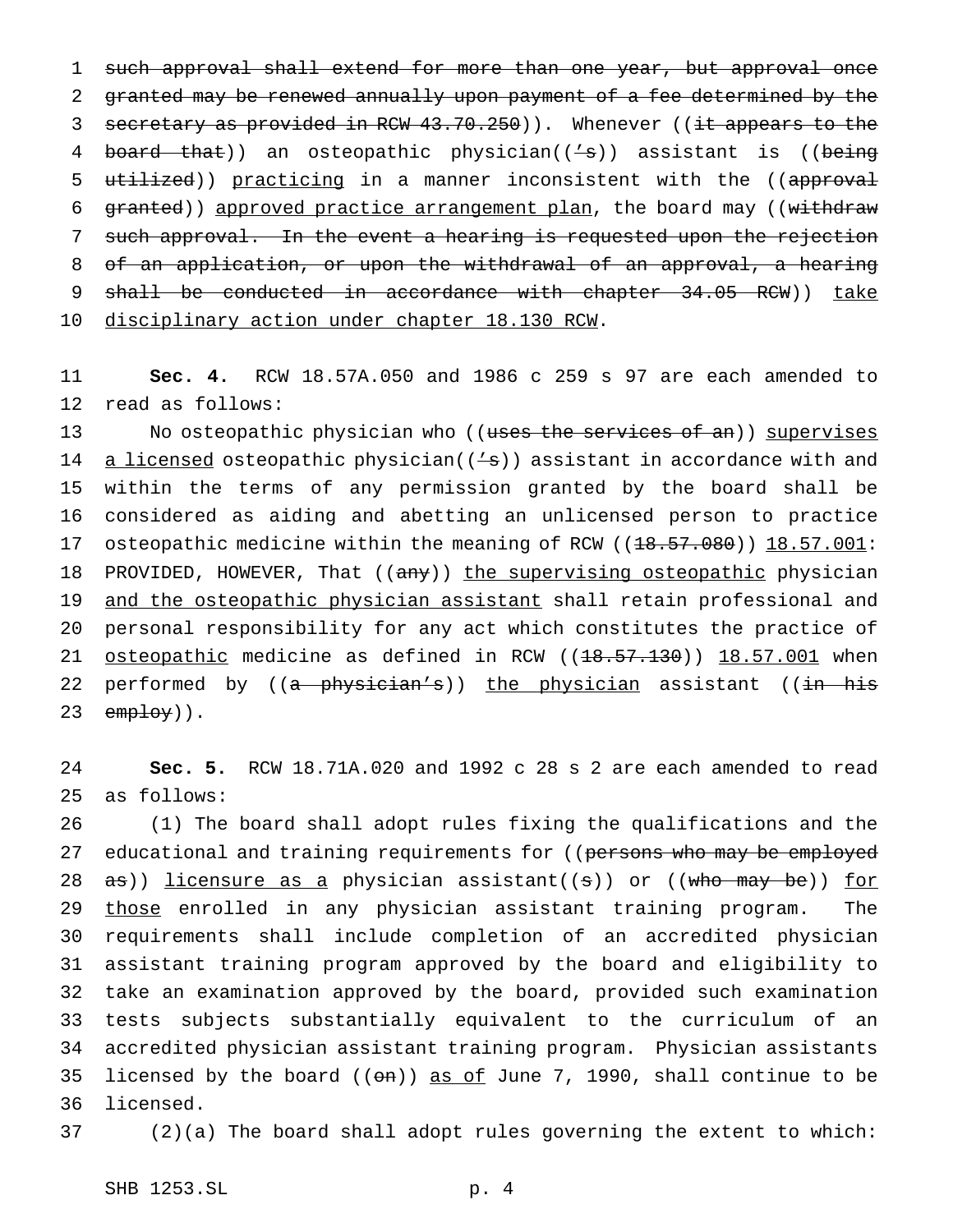1 such approval shall extend for more than one year, but approval once 2 granted may be renewed annually upon payment of a fee determined by the 3 secretary as provided in RCW 43.70.250)). Whenever ((it appears to the 4 board that)) an osteopathic physician(('s)) assistant is ((being 5 utilized)) practicing in a manner inconsistent with the ((approval 6 granted)) approved practice arrangement plan, the board may ((withdraw 7 such approval. In the event a hearing is requested upon the rejection 8 of an application, or upon the withdrawal of an approval, a hearing 9 shall be conducted in accordance with chapter 34.05 RCW)) take 10 disciplinary action under chapter 18.130 RCW.

11 **Sec. 4.** RCW 18.57A.050 and 1986 c 259 s 97 are each amended to 12 read as follows:

13 No osteopathic physician who ((uses the services of an)) supervises 14 a licensed osteopathic physician( $(4s)$ ) assistant in accordance with and 15 within the terms of any permission granted by the board shall be 16 considered as aiding and abetting an unlicensed person to practice 17 osteopathic medicine within the meaning of RCW ((18.57.080)) 18.57.001: 18 PROVIDED, HOWEVER, That ((any)) the supervising osteopathic physician 19 and the osteopathic physician assistant shall retain professional and 20 personal responsibility for any act which constitutes the practice of 21 osteopathic medicine as defined in RCW  $((18.57.130))$   $18.57.001$  when 22 performed by ((a physician's)) the physician assistant ((in his 23  $emptoy)$ .

24 **Sec. 5.** RCW 18.71A.020 and 1992 c 28 s 2 are each amended to read 25 as follows:

 (1) The board shall adopt rules fixing the qualifications and the 27 educational and training requirements for ((persons who may be employed  $as)$ ) licensure as a physician assistant((s)) or ((who may be)) for 29 those enrolled in any physician assistant training program. The requirements shall include completion of an accredited physician assistant training program approved by the board and eligibility to take an examination approved by the board, provided such examination tests subjects substantially equivalent to the curriculum of an accredited physician assistant training program. Physician assistants 35 licensed by the board  $(( $\theta n$ ))$  as of June 7, 1990, shall continue to be licensed.

37 (2)(a) The board shall adopt rules governing the extent to which:

SHB 1253.SL p. 4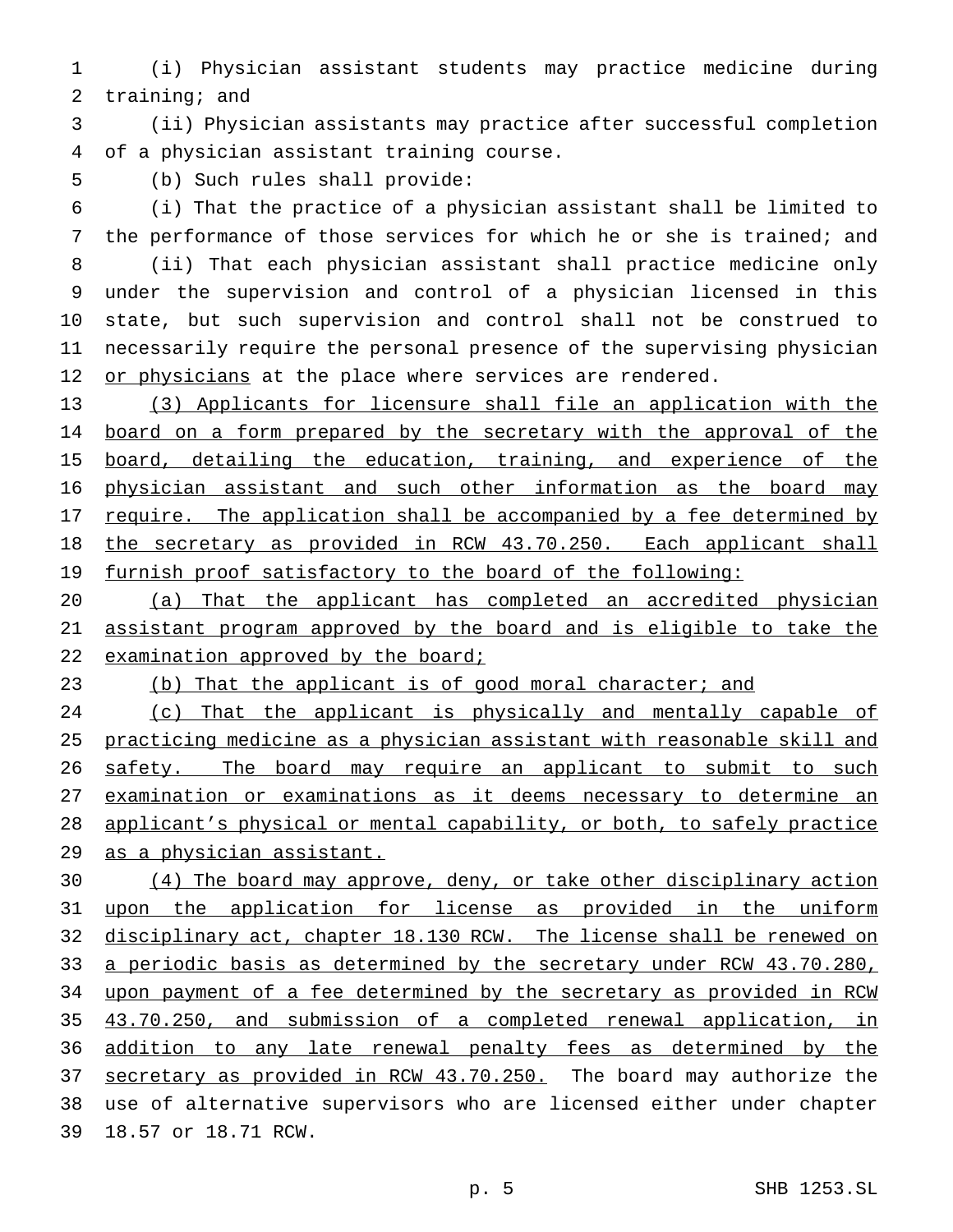(i) Physician assistant students may practice medicine during training; and

 (ii) Physician assistants may practice after successful completion of a physician assistant training course.

(b) Such rules shall provide:

 (i) That the practice of a physician assistant shall be limited to the performance of those services for which he or she is trained; and (ii) That each physician assistant shall practice medicine only under the supervision and control of a physician licensed in this state, but such supervision and control shall not be construed to necessarily require the personal presence of the supervising physician 12 or physicians at the place where services are rendered.

 (3) Applicants for licensure shall file an application with the 14 board on a form prepared by the secretary with the approval of the 15 board, detailing the education, training, and experience of the physician assistant and such other information as the board may 17 require. The application shall be accompanied by a fee determined by the secretary as provided in RCW 43.70.250. Each applicant shall 19 furnish proof satisfactory to the board of the following:

 (a) That the applicant has completed an accredited physician assistant program approved by the board and is eligible to take the 22 examination approved by the board;

23 (b) That the applicant is of good moral character; and

24 (c) That the applicant is physically and mentally capable of practicing medicine as a physician assistant with reasonable skill and 26 safety. The board may require an applicant to submit to such examination or examinations as it deems necessary to determine an applicant's physical or mental capability, or both, to safely practice as a physician assistant.

 (4) The board may approve, deny, or take other disciplinary action 31 upon the application for license as provided in the uniform disciplinary act, chapter 18.130 RCW. The license shall be renewed on 33 a periodic basis as determined by the secretary under RCW 43.70.280, upon payment of a fee determined by the secretary as provided in RCW 43.70.250, and submission of a completed renewal application, in 36 addition to any late renewal penalty fees as determined by the 37 secretary as provided in RCW 43.70.250. The board may authorize the use of alternative supervisors who are licensed either under chapter 18.57 or 18.71 RCW.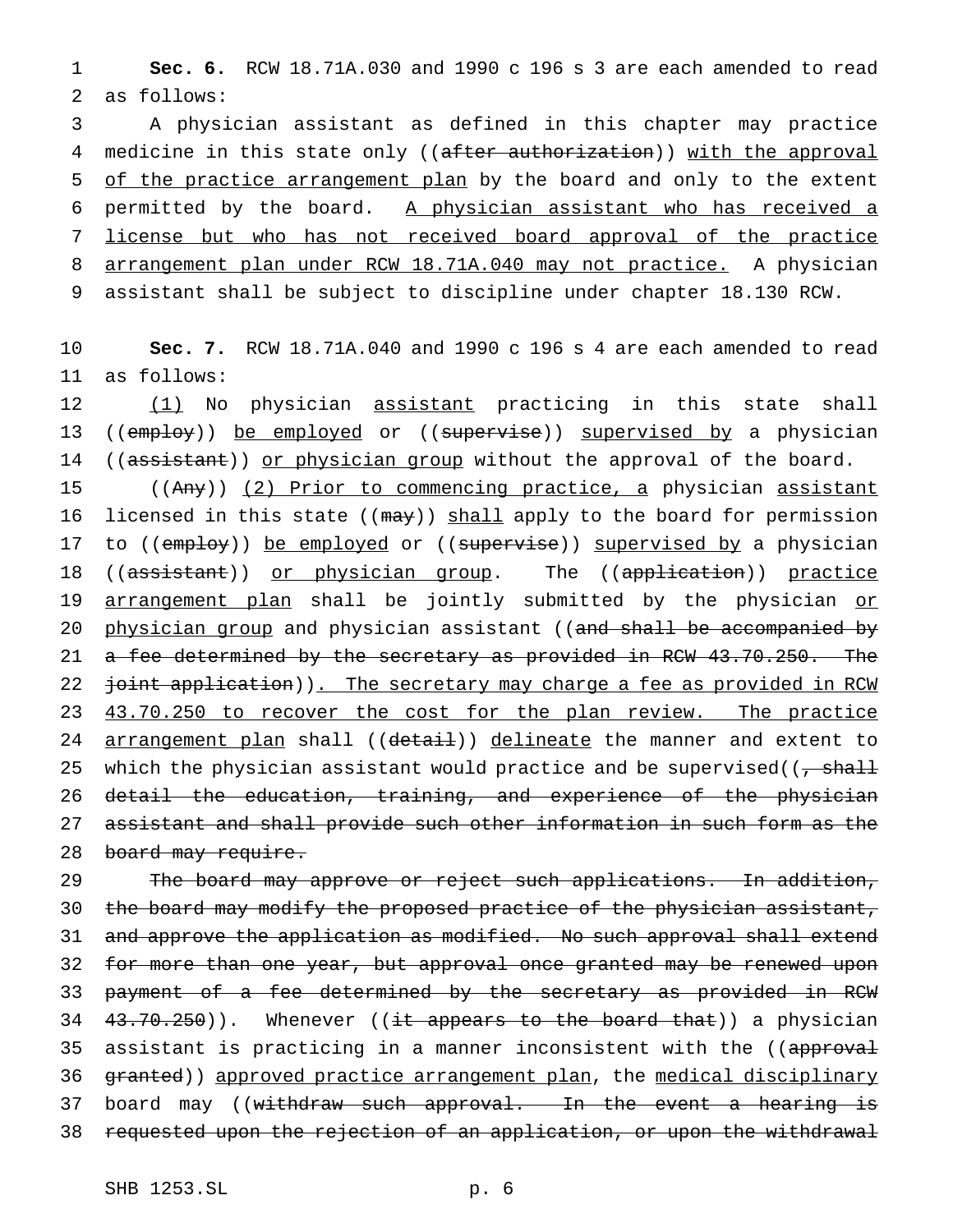1 **Sec. 6.** RCW 18.71A.030 and 1990 c 196 s 3 are each amended to read 2 as follows:

 A physician assistant as defined in this chapter may practice 4 medicine in this state only ((after authorization)) with the approval 5 of the practice arrangement plan by the board and only to the extent permitted by the board. A physician assistant who has received a license but who has not received board approval of the practice arrangement plan under RCW 18.71A.040 may not practice. A physician assistant shall be subject to discipline under chapter 18.130 RCW.

10 **Sec. 7.** RCW 18.71A.040 and 1990 c 196 s 4 are each amended to read 11 as follows:

12 (1) No physician assistant practicing in this state shall 13 ((employ)) be employed or ((supervise)) supervised by a physician 14 ((assistant)) or physician group without the approval of the board.

15 ((Any)) (2) Prior to commencing practice, a physician assistant 16 licensed in this state ((may)) shall apply to the board for permission 17 to ((employ)) be employed or ((supervise)) supervised by a physician 18 ((assistant)) or physician group. The ((application)) practice 19 arrangement plan shall be jointly submitted by the physician or 20 physician group and physician assistant ((and shall be accompanied by 21 a fee determined by the secretary as provided in RCW 43.70.250. The 22 joint application)). The secretary may charge a fee as provided in RCW 23 43.70.250 to recover the cost for the plan review. The practice 24 arrangement plan shall ((detail)) delineate the manner and extent to 25 which the physician assistant would practice and be supervised( $\overline{z}$ ,  $\overline{z}$ 26 detail the education, training, and experience of the physician 27 assistant and shall provide such other information in such form as the 28 board may require.

29 The board may approve or reject such applications. In addition, 30 the board may modify the proposed practice of the physician assistant, 31 and approve the application as modified. No such approval shall extend 32 for more than one year, but approval once granted may be renewed upon 33 payment of a fee determined by the secretary as provided in RCW 34  $43.70.250$ )). Whenever ((it appears to the board that)) a physician 35 assistant is practicing in a manner inconsistent with the ((approval 36 granted)) approved practice arrangement plan, the medical disciplinary 37 board may ((withdraw such approval. In the event a hearing is 38 requested upon the rejection of an application, or upon the withdrawal